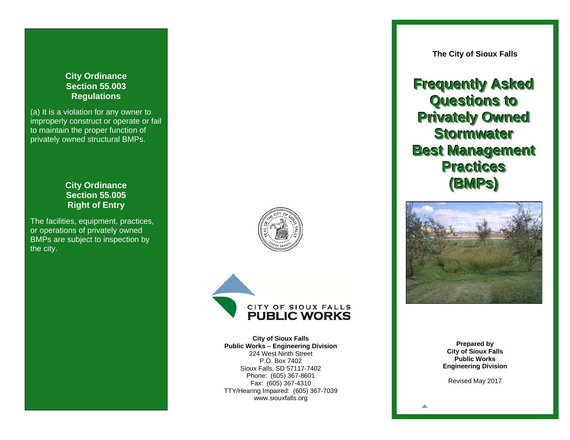# **City Ordinance Section 55.003 Regulations**

(a) It is a violation for any owner to improperly construct or operate or fail to maintain the proper function of privately owned structural BMPs.

# **City Ordinance Section 55.005 Right of Entry**

The facilities, equipment, practices, or operations of privately owned BMPs are subject to inspection by the city.





**City of Sioux Falls Public Works – Engineering Division**  224 West Ninth Street P.O. Box 7402 Sioux Falls, SD 57117-7402 Phone: (605) 367-8601 Fax: (605) 367-4310 TTY/Hearing Impaired: (605) 367-7039 www.siouxfalls.org

**The City of Sioux Falls** 

# **Frequently Asked Questions to Privately Owned Stormwater Best Management Practices (BMPs)**



**Prepared by City of Sioux Falls Public Works Engineering Division** 

Revised May 2017